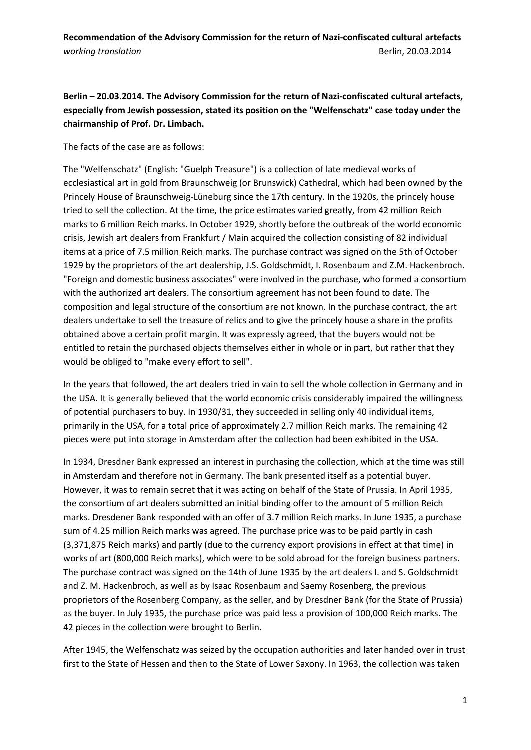**Berlin – 20.03.2014. The Advisory Commission for the return of Nazi-confiscated cultural artefacts, especially from Jewish possession, stated its position on the "Welfenschatz" case today under the chairmanship of Prof. Dr. Limbach.** 

The facts of the case are as follows:

The "Welfenschatz" (English: "Guelph Treasure") is a collection of late medieval works of ecclesiastical art in gold from Braunschweig (or Brunswick) Cathedral, which had been owned by the Princely House of Braunschweig-Lüneburg since the 17th century. In the 1920s, the princely house tried to sell the collection. At the time, the price estimates varied greatly, from 42 million Reich marks to 6 million Reich marks. In October 1929, shortly before the outbreak of the world economic crisis, Jewish art dealers from Frankfurt / Main acquired the collection consisting of 82 individual items at a price of 7.5 million Reich marks. The purchase contract was signed on the 5th of October 1929 by the proprietors of the art dealership, J.S. Goldschmidt, I. Rosenbaum and Z.M. Hackenbroch. "Foreign and domestic business associates" were involved in the purchase, who formed a consortium with the authorized art dealers. The consortium agreement has not been found to date. The composition and legal structure of the consortium are not known. In the purchase contract, the art dealers undertake to sell the treasure of relics and to give the princely house a share in the profits obtained above a certain profit margin. It was expressly agreed, that the buyers would not be entitled to retain the purchased objects themselves either in whole or in part, but rather that they would be obliged to "make every effort to sell".

In the years that followed, the art dealers tried in vain to sell the whole collection in Germany and in the USA. It is generally believed that the world economic crisis considerably impaired the willingness of potential purchasers to buy. In 1930/31, they succeeded in selling only 40 individual items, primarily in the USA, for a total price of approximately 2.7 million Reich marks. The remaining 42 pieces were put into storage in Amsterdam after the collection had been exhibited in the USA.

In 1934, Dresdner Bank expressed an interest in purchasing the collection, which at the time was still in Amsterdam and therefore not in Germany. The bank presented itself as a potential buyer. However, it was to remain secret that it was acting on behalf of the State of Prussia. In April 1935, the consortium of art dealers submitted an initial binding offer to the amount of 5 million Reich marks. Dresdener Bank responded with an offer of 3.7 million Reich marks. In June 1935, a purchase sum of 4.25 million Reich marks was agreed. The purchase price was to be paid partly in cash (3,371,875 Reich marks) and partly (due to the currency export provisions in effect at that time) in works of art (800,000 Reich marks), which were to be sold abroad for the foreign business partners. The purchase contract was signed on the 14th of June 1935 by the art dealers I. and S. Goldschmidt and Z. M. Hackenbroch, as well as by Isaac Rosenbaum and Saemy Rosenberg, the previous proprietors of the Rosenberg Company, as the seller, and by Dresdner Bank (for the State of Prussia) as the buyer. In July 1935, the purchase price was paid less a provision of 100,000 Reich marks. The 42 pieces in the collection were brought to Berlin.

After 1945, the Welfenschatz was seized by the occupation authorities and later handed over in trust first to the State of Hessen and then to the State of Lower Saxony. In 1963, the collection was taken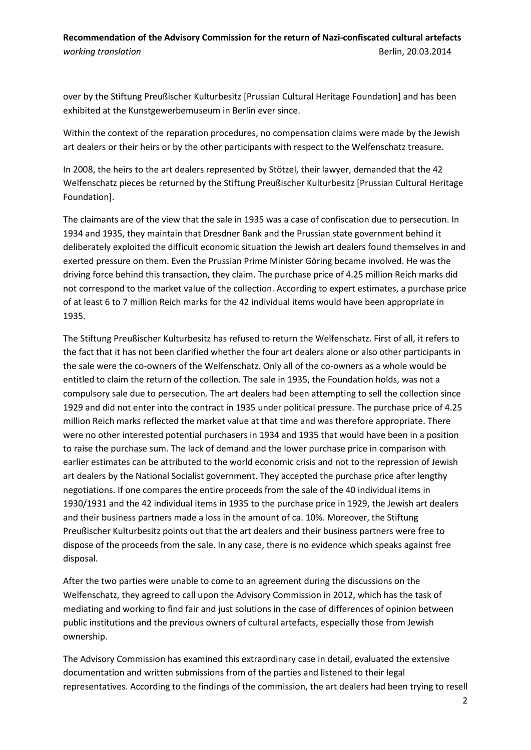over by the Stiftung Preußischer Kulturbesitz [Prussian Cultural Heritage Foundation] and has been exhibited at the Kunstgewerbemuseum in Berlin ever since.

Within the context of the reparation procedures, no compensation claims were made by the Jewish art dealers or their heirs or by the other participants with respect to the Welfenschatz treasure.

In 2008, the heirs to the art dealers represented by Stötzel, their lawyer, demanded that the 42 Welfenschatz pieces be returned by the Stiftung Preußischer Kulturbesitz [Prussian Cultural Heritage Foundation].

The claimants are of the view that the sale in 1935 was a case of confiscation due to persecution. In 1934 and 1935, they maintain that Dresdner Bank and the Prussian state government behind it deliberately exploited the difficult economic situation the Jewish art dealers found themselves in and exerted pressure on them. Even the Prussian Prime Minister Göring became involved. He was the driving force behind this transaction, they claim. The purchase price of 4.25 million Reich marks did not correspond to the market value of the collection. According to expert estimates, a purchase price of at least 6 to 7 million Reich marks for the 42 individual items would have been appropriate in 1935.

The Stiftung Preußischer Kulturbesitz has refused to return the Welfenschatz. First of all, it refers to the fact that it has not been clarified whether the four art dealers alone or also other participants in the sale were the co-owners of the Welfenschatz. Only all of the co-owners as a whole would be entitled to claim the return of the collection. The sale in 1935, the Foundation holds, was not a compulsory sale due to persecution. The art dealers had been attempting to sell the collection since 1929 and did not enter into the contract in 1935 under political pressure. The purchase price of 4.25 million Reich marks reflected the market value at that time and was therefore appropriate. There were no other interested potential purchasers in 1934 and 1935 that would have been in a position to raise the purchase sum. The lack of demand and the lower purchase price in comparison with earlier estimates can be attributed to the world economic crisis and not to the repression of Jewish art dealers by the National Socialist government. They accepted the purchase price after lengthy negotiations. If one compares the entire proceeds from the sale of the 40 individual items in 1930/1931 and the 42 individual items in 1935 to the purchase price in 1929, the Jewish art dealers and their business partners made a loss in the amount of ca. 10%. Moreover, the Stiftung Preußischer Kulturbesitz points out that the art dealers and their business partners were free to dispose of the proceeds from the sale. In any case, there is no evidence which speaks against free disposal.

After the two parties were unable to come to an agreement during the discussions on the Welfenschatz, they agreed to call upon the Advisory Commission in 2012, which has the task of mediating and working to find fair and just solutions in the case of differences of opinion between public institutions and the previous owners of cultural artefacts, especially those from Jewish ownership.

The Advisory Commission has examined this extraordinary case in detail, evaluated the extensive documentation and written submissions from of the parties and listened to their legal representatives. According to the findings of the commission, the art dealers had been trying to resell